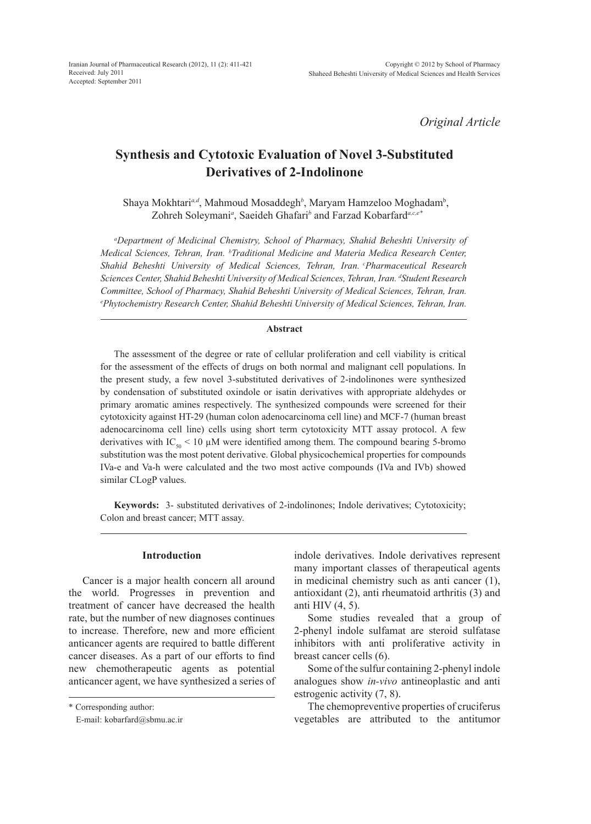*Original Article*

# **Synthesis and Cytotoxic Evaluation of Novel 3-Substituted Derivatives of 2-Indolinone**

Shaya Mokhtari<sup>a,d</sup>, Mahmoud Mosaddegh<sup>b</sup>, Maryam Hamzeloo Moghadam<sup>b</sup>, Zohreh Soleymani<sup>*a*</sup>, Saeideh Ghafari<sup>b</sup> and Farzad Kobarfard<sup>a,c,e\*</sup>

*a Department of Medicinal Chemistry, School of Pharmacy, Shahid Beheshti University of Medical Sciences, Tehran, Iran. b Traditional Medicine and Materia Medica Research Center, Shahid Beheshti University of Medical Sciences, Tehran, Iran. cPharmaceutical Research Sciences Center, Shahid Beheshti University of Medical Sciences, Tehran, Iran. <sup>d</sup> Student Research Committee, School of Pharmacy, Shahid Beheshti University of Medical Sciences, Tehran, Iran. e Phytochemistry Research Center, Shahid Beheshti University of Medical Sciences, Tehran, Iran.*

### **Abstract**

The assessment of the degree or rate of cellular proliferation and cell viability is critical for the assessment of the effects of drugs on both normal and malignant cell populations. In the present study, a few novel 3-substituted derivatives of 2-indolinones were synthesized by condensation of substituted oxindole or isatin derivatives with appropriate aldehydes or primary aromatic amines respectively. The synthesized compounds were screened for their cytotoxicity against HT-29 (human colon adenocarcinoma cell line) and MCF-7 (human breast adenocarcinoma cell line) cells using short term cytotoxicity MTT assay protocol. A few derivatives with  $IC_{50}$  < 10 µM were identified among them. The compound bearing 5-bromo substitution was the most potent derivative. Global physicochemical properties for compounds IVa-e and Va-h were calculated and the two most active compounds (IVa and IVb) showed similar CLogP values.

**Keywords:** 3- substituted derivatives of 2-indolinones; Indole derivatives; Cytotoxicity; Colon and breast cancer; MTT assay.

### **Introduction**

Cancer is a major health concern all around the world. Progresses in prevention and treatment of cancer have decreased the health rate, but the number of new diagnoses continues to increase. Therefore, new and more efficient anticancer agents are required to battle different cancer diseases. As a part of our efforts to find new chemotherapeutic agents as potential anticancer agent, we have synthesized a series of

\* Corresponding author:

E-mail: kobarfard@sbmu.ac.ir

indole derivatives. Indole derivatives represent many important classes of therapeutical agents in medicinal chemistry such as anti cancer (1), antioxidant (2), anti rheumatoid arthritis (3) and anti HIV (4, 5).

Some studies revealed that a group of 2-phenyl indole sulfamat are steroid sulfatase inhibitors with anti proliferative activity in breast cancer cells (6).

Some of the sulfur containing 2-phenyl indole analogues show *in-vivo* antineoplastic and anti estrogenic activity (7, 8).

The chemopreventive properties of cruciferus vegetables are attributed to the antitumor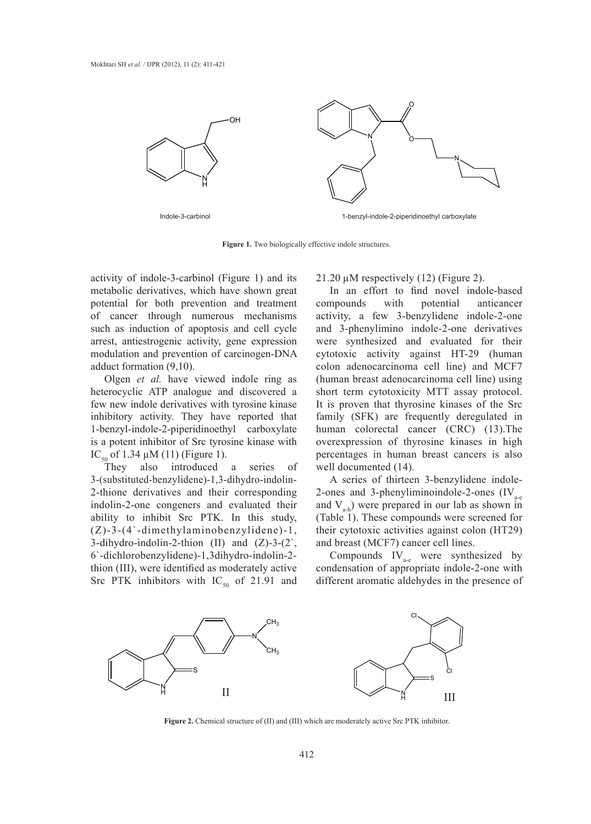

**Figure 1.** Two biologically effective indole structures.

activity of indole-3-carbinol (Figure 1) and its metabolic derivatives, which have shown great potential for both prevention and treatment of cancer through numerous mechanisms such as induction of apoptosis and cell cycle arrest, antiestrogenic activity, gene expression modulation and prevention of carcinogen-DNA adduct formation (9,10).

Olgen *et al.* have viewed indole ring as heterocyclic ATP analogue and discovered a few new indole derivatives with tyrosine kinase inhibitory activity. They have reported that 1-benzyl-indole-2-piperidinoethyl carboxylate is a potent inhibitor of Src tyrosine kinase with IC<sub>50</sub> of 1.34  $\mu$ M (11) (Figure 1).<br>They also introduced

introduced a series of 3-(substituted-benzylidene)-1,3-dihydro-indolin-2-thione derivatives and their corresponding indolin-2-one congeners and evaluated their ability to inhibit Src PTK. In this study, (Z)-3-(4`-dimethylaminobenzylidene)-1, 3-dihydro-indolin-2-thion (II) and (Z)-3-(2`, 6`-dichlorobenzylidene)-1,3dihydro-indolin-2 thion (III), were identified as moderately active Src PTK inhibitors with  $IC_{50}$  of 21.91 and

21.20  $\mu$ M respectively (12) (Figure 2).

In an effort to find novel indole-based compounds with potential anticancer activity, a few 3-benzylidene indole-2-one and 3-phenylimino indole-2-one derivatives were synthesized and evaluated for their cytotoxic activity against HT-29 (human colon adenocarcinoma cell line) and MCF7 (human breast adenocarcinoma cell line) using short term cytotoxicity MTT assay protocol. It is proven that thyrosine kinases of the Src family (SFK) are frequently deregulated in human colorectal cancer (CRC) (13).The overexpression of thyrosine kinases in high percentages in human breast cancers is also well documented (14).

A series of thirteen 3-benzylidene indole-2-ones and 3-phenyliminoindole-2-ones  $(IV<sub>a-e</sub>)$ and  $V_{a-b}$ ) were prepared in our lab as shown in (Table 1). These compounds were screened for their cytotoxic activities against colon (HT29) and breast (MCF7) cancer cell lines.

Compounds  $IV_{\text{age}}$  were synthesized by condensation of appropriate indole-2-one with different aromatic aldehydes in the presence of



**Figure 2.** Chemical structure of (II) and (III) which are moderately active Src PTK inhibitor.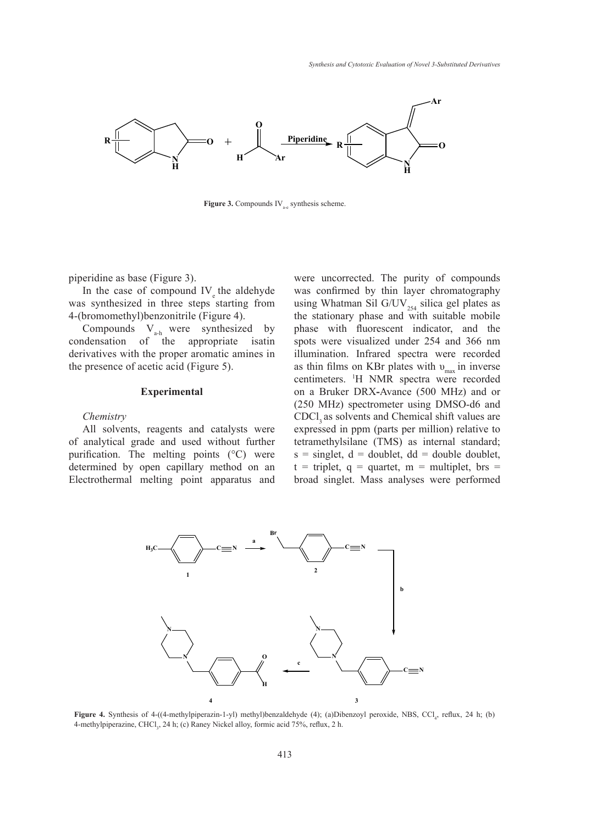

**Figure 3.** Compounds  $IV_{\text{a-e}}$  synthesis scheme.

piperidine as base (Figure 3).

In the case of compound  $IV_e$  the aldehyde was synthesized in three steps starting from 4-(bromomethyl)benzonitrile (Figure 4).

Compounds  $V_{a-h}$  were synthesized by condensation of the appropriate isatin derivatives with the proper aromatic amines in the presence of acetic acid (Figure 5).

### **Experimental**

#### *Chemistry*

All solvents, reagents and catalysts were of analytical grade and used without further purification. The melting points (°C) were determined by open capillary method on an Electrothermal melting point apparatus and

were uncorrected. The purity of compounds was confirmed by thin layer chromatography using Whatman Sil G/UV<sub>254</sub> silica gel plates as the stationary phase and with suitable mobile phase with fluorescent indicator, and the spots were visualized under 254 and 366 nm illumination. Infrared spectra were recorded as thin films on KBr plates with  $v_{\text{max}}$  in inverse centimeters. 1 H NMR spectra were recorded on a Bruker DRX**-**Avance (500 MHz) and or (250 MHz) spectrometer using DMSO-d6 and CDCl<sub>3</sub> as solvents and Chemical shift values are expressed in ppm (parts per million) relative to tetramethylsilane (TMS) as internal standard;  $s = singlet, d = doublet, dd = double doublet,$  $t =$  triplet,  $q =$  quartet,  $m =$  multiplet, brs = broad singlet. Mass analyses were performed



**Figure 4.** Synthesis of 4-((4-methylpiperazin-1-yl) methyl)benzaldehyde (4); (a)Dibenzoyl peroxide, NBS, CCl<sub>4</sub>, reflux, 24 h; (b) 4-methylpiperazine, CHCl<sub>3</sub>, 24 h; (c) Raney Nickel alloy, formic acid 75%, reflux, 2 h.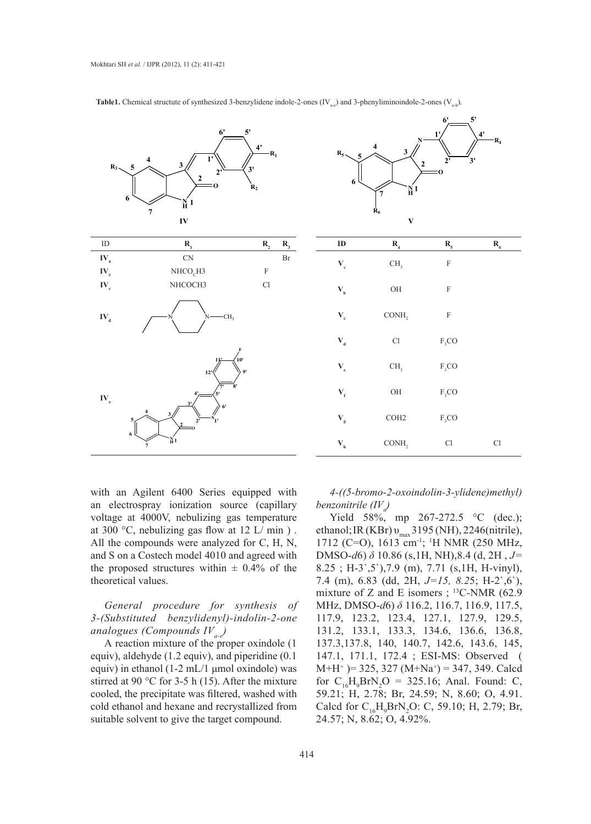

**Table1.** Chemical structute of synthesized 3-benzylidene indole-2-ones (IV<sub>am</sub>) and 3-phenyliminoindole-2-ones (V<sub>am</sub>).



**6' 5'**

with an Agilent 6400 Series equipped with an electrospray ionization source (capillary voltage at 4000V, nebulizing gas temperature at 300 °C, nebulizing gas flow at 12 L/min). All the compounds were analyzed for C, H, N, and S on a Costech model 4010 and agreed with the proposed structures within  $\pm$  0.4% of the theoretical values.

*General procedure for synthesis of 3-(Substituted benzylidenyl)-indolin-2-one analogues (Compounds IVa-e)*

A reaction mixture of the proper oxindole (1 equiv), aldehyde (1.2 equiv), and piperidine (0.1 equiv) in ethanol (1-2 mL/1 μmol oxindole) was stirred at 90 °C for 3-5 h (15). After the mixture cooled, the precipitate was filtered, washed with cold ethanol and hexane and recrystallized from suitable solvent to give the target compound.

*4-((5-bromo-2-oxoindolin-3-ylidene)methyl) benzonitrile (IVa )*

Yield 58%, mp 267-272.5 °C (dec.); ethanol; IR (KBr)  $v_{\text{max}}$  3195 (NH), 2246(nitrile), 1712 (C=O), 1613 cm-1; 1 H NMR (250 MHz, DMSO-*d*6) *δ* 10.86 (s,1H, NH),8.4 (d, 2H , *J=* 8.25 ; H-3`,5`),7.9 (m), 7.71 (s,1H, H-vinyl), 7.4 (m), 6.83 (dd, 2H, *J=15, 8.2*5; H-2`,6`), mixture of Z and E isomers ;  $^{13}$ C-NMR (62.9) MHz, DMSO-*d*6) *δ* 116.2, 116.7, 116.9, 117.5, 117.9, 123.2, 123.4, 127.1, 127.9, 129.5, 131.2, 133.1, 133.3, 134.6, 136.6, 136.8, 137.3,137.8, 140, 140.7, 142.6, 143.6, 145, 147.1, 171.1, 172.4 ; ESI-MS: Observed (  $M+H^+$  )= 325, 327 (M+Na<sup>+</sup>) = 347, 349. Calcd for  $C_{16}H_9BrN_2O = 325.16$ ; Anal. Found: C, 59.21; H, 2.78; Br, 24.59; N, 8.60; O, 4.91. Calcd for  $C_{16}H_{9}BrN_{2}O$ : C, 59.10; H, 2.79; Br, 24.57; N, 8.62; O, 4.92%.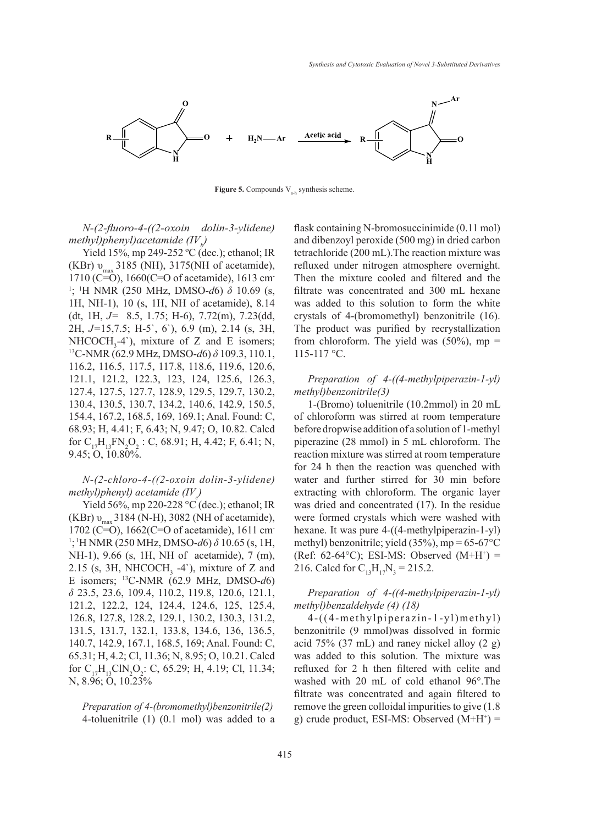

**Figure 5.** Compounds  $V_{a-h}$  synthesis scheme.

*N-(2-fluoro-4-((2-oxoin dolin-3-ylidene) methyl)phenyl)acetamide*  $\left(\frac{IV}{b}\right)$ 

Yield 15%, mp 249-252 °C (dec.); ethanol; IR (KBr)  $v_{\text{max}}$  3185 (NH), 3175(NH of acetamide), 1710 (C=O), 1660(C=O of acetamide), 1613 cm-1 ; 1 H NMR (250 MHz, DMSO-*d*6) *δ* 10.69 (s, 1H, NH-1), 10 (s, 1H, NH of acetamide), 8.14 (dt, 1H, *J=* 8.5, 1.75; H-6), 7.72(m), 7.23(dd, 2H, *J=*15,7.5; H-5`, 6`), 6.9 (m), 2.14 (s, 3H, NHCOCH<sub>3</sub>-4'), mixture of Z and E isomers;<br><sup>13</sup>C-NMR (62.9 MHz, DMSO-*d*6) *δ* 109.3, 110.1, 116.2, 116.5, 117.5, 117.8, 118.6, 119.6, 120.6, 121.1, 121.2, 122.3, 123, 124, 125.6, 126.3, 127.4, 127.5, 127.7, 128.9, 129.5, 129.7, 130.2, 130.4, 130.5, 130.7, 134.2, 140.6, 142.9, 150.5, 154.4, 167.2, 168.5, 169, 169.1; Anal. Found: C, 68.93; H, 4.41; F, 6.43; N, 9.47; O, 10.82. Calcd for  $C_{17}H_{13}FN_2O_2$ : C, 68.91; H, 4.42; F, 6.41; N, 9.45; O, 10.80%.

## *N-(2-chloro-4-((2-oxoin dolin-3-ylidene) methyl)phenyl) acetamide (IV<sub>c</sub>)*

Yield 56%, mp 220-228 °C (dec.); ethanol; IR  $(KBr) v_{\text{max}}$  3184 (N-H), 3082 (NH of acetamide), 1702 (C=O), 1662(C=O of acetamide), 1611 cm-1 ; 1H NMR (250 MHz, DMSO-*d*6) *δ* 10.65 (s, 1H, NH-1), 9.66 (s, 1H, NH of acetamide), 7 (m), 2.15 (s, 3H, NHCOCH<sub>3</sub> -4`), mixture of Z and E isomers; 13C-NMR (62.9 MHz, DMSO-*d*6) *δ* 23.5, 23.6, 109.4, 110.2, 119.8, 120.6, 121.1, 121.2, 122.2, 124, 124.4, 124.6, 125, 125.4, 126.8, 127.8, 128.2, 129.1, 130.2, 130.3, 131.2, 131.5, 131.7, 132.1, 133.8, 134.6, 136, 136.5, 140.7, 142.9, 167.1, 168.5, 169; Anal. Found: C, 65.31; H, 4.2; Cl, 11.36; N, 8.95; O, 10.21. Calcd for  $C_{17}H_{13}CIN_2O_2$ : C, 65.29; H, 4.19; Cl, 11.34; N, 8.96; O, 10.23%

*Preparation of 4-(bromomethyl)benzonitrile(2)* 4-toluenitrile (1) (0.1 mol) was added to a flask containing N-bromosuccinimide (0.11 mol) and dibenzoyl peroxide (500 mg) in dried carbon tetrachloride (200 mL).The reaction mixture was refluxed under nitrogen atmosphere overnight. Then the mixture cooled and filtered and the filtrate was concentrated and 300 mL hexane was added to this solution to form the white crystals of 4-(bromomethyl) benzonitrile (16). The product was purified by recrystallization from chloroform. The yield was  $(50\%)$ , mp = 115-117 °C.

## *Preparation of 4-((4-methylpiperazin-1-yl) methyl)benzonitrile(3)*

1-(Bromo) toluenitrile (10.2mmol) in 20 mL of chloroform was stirred at room temperature before dropwise addition of a solution of 1-methyl piperazine (28 mmol) in 5 mL chloroform. The reaction mixture was stirred at room temperature for 24 h then the reaction was quenched with water and further stirred for 30 min before extracting with chloroform. The organic layer was dried and concentrated (17). In the residue were formed crystals which were washed with hexane. It was pure 4-((4-methylpiperazin-1-yl) methyl) benzonitrile; yield  $(35\%)$ , mp = 65-67 $\degree$ C (Ref: 62-64 $^{\circ}$ C); ESI-MS: Observed (M+H<sup>+</sup>) = 216. Calcd for  $C_{13}H_{17}N_3 = 215.2$ .

## *Preparation of 4-((4-methylpiperazin-1-yl) methyl)benzaldehyde (4) (18)*

4-((4-methylpiperazin-1-yl)methyl) benzonitrile (9 mmol)was dissolved in formic acid 75% (37 mL) and raney nickel alloy (2 g) was added to this solution. The mixture was refluxed for 2 h then filtered with celite and washed with 20 mL of cold ethanol 96°.The filtrate was concentrated and again filtered to remove the green colloidal impurities to give (1.8 g) crude product, ESI-MS: Observed  $(M+H^+)$  =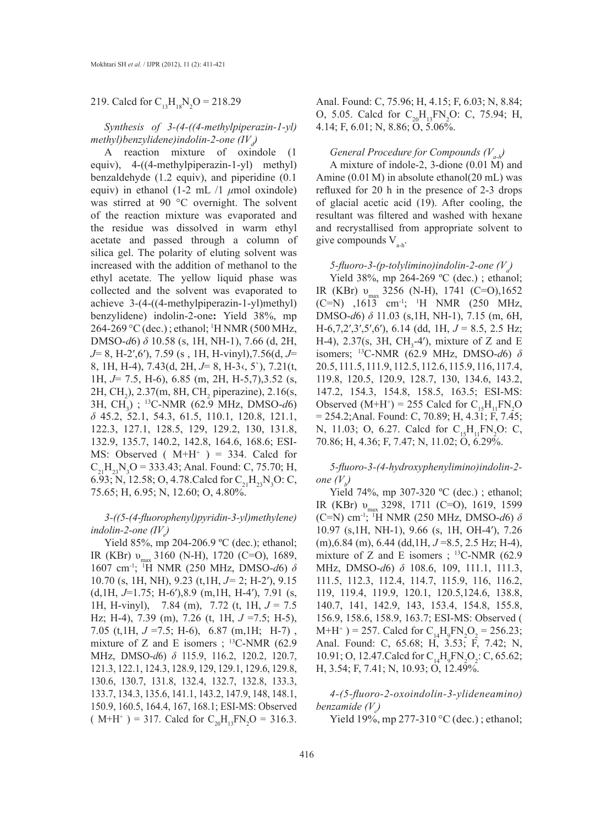219. Calcd for  $C_{13}H_{18}N_2O = 218.29$ 

*Synthesis of 3-(4-((4-methylpiperazin-1-yl)* methyl)benzylidene)indolin-2-one (IV<sub>a</sub>)

A reaction mixture of oxindole (1 equiv), 4-((4-methylpiperazin-1-yl) methyl) benzaldehyde (1.2 equiv), and piperidine (0.1 equiv) in ethanol (1-2 mL /1 *μ*mol oxindole) was stirred at 90 °C overnight. The solvent of the reaction mixture was evaporated and the residue was dissolved in warm ethyl acetate and passed through a column of silica gel. The polarity of eluting solvent was increased with the addition of methanol to the ethyl acetate. The yellow liquid phase was collected and the solvent was evaporated to achieve 3-(4-((4-methylpiperazin-1-yl)methyl) benzylidene) indolin-2-one**:** Yield 38%, mp 264-269 °C (dec.) ; ethanol; <sup>1</sup> H NMR (500 MHz, DMSO-*d*6) *δ* 10.58 (s, 1H, NH-1), 7.66 (d, 2H, *J*= 8, H-2′,6′), 7.59 (s , 1H, H-vinyl),7.56(d, *J*= 8, 1H, H-4), 7.43(d, 2H, *J*= 8, H-3‹, 5`), 7.21(t, 1H, *J*= 7.5, H-6), 6.85 (m, 2H, H-5,7),3.52 (s,  $2H, CH<sub>2</sub>$ ),  $2.37(m, 8H, CH<sub>2</sub>$  piperazine),  $2.16(s,$ 3H, CH3 ) ; 13C-NMR (62.9 MHz, DMSO-*d*6) *δ* 45.2, 52.1, 54.3, 61.5, 110.1, 120.8, 121.1, 122.3, 127.1, 128.5, 129, 129.2, 130, 131.8, 132.9, 135.7, 140.2, 142.8, 164.6, 168.6; ESI-MS: Observed  $(M+H^+) = 334$ . Calcd for  $C_{21}H_{23}N_{3}O = 333.43$ ; Anal. Found: C, 75.70; H, 6.93; N, 12.58; O, 4.78. Calcd for  $C_{21}H_{23}N_{3}O$ : C, 75.65; H, 6.95; N, 12.60; O, 4.80%.

*3-((5-(4-fluorophenyl)pyridin-3-yl)methylene) indolin-2-one* (IV<sub>e</sub>)

Yield 85%, mp 204-206.9 °C (dec.); ethanol; IR (KBr) υ<sub>max</sub> 3160 (N-H), 1720 (C=O), 1689, 1607 cm-1; 1 H NMR (250 MHz, DMSO-*d*6) *δ*  10.70 (s, 1H, NH), 9.23 (t,1H, *J=* 2; H-2′), 9.15 (d,1H, *J*=1.75; H-6′),8.9 (m,1H, H-4′), 7.91 (s, 1H, H-vinyl), 7.84 (m), 7.72 (t, 1H, *J* = 7.5 Hz; H-4), 7.39 (m), 7.26 (t, 1H, *J* =7.5; H-5), 7.05 (t,1H, *J* =7.5; H-6), 6.87 (m,1H; H-7) , mixture of Z and E isomers ;  $^{13}$ C-NMR (62.9) MHz, DMSO-*d*6) *δ* 115.9, 116.2, 120.2, 120.7, 121.3, 122.1, 124.3, 128.9, 129, 129.1, 129.6, 129.8, 130.6, 130.7, 131.8, 132.4, 132.7, 132.8, 133.3, 133.7, 134.3, 135.6, 141.1, 143.2, 147.9, 148, 148.1, 150.9, 160.5, 164.4, 167, 168.1; ESI-MS: Observed  $(M+H^+) = 317$ . Calcd for  $C_{20}H_{13}FN_2O = 316.3$ . Anal. Found: C, 75.96; H, 4.15; F, 6.03; N, 8.84; O, 5.05. Calcd for  $C_{20}H_{13}FN_{2}O$ : C, 75.94; H, 4.14; F, 6.01; N, 8.86; O, 5.06%.

### *General Procedure for Compounds*  $(V_{ab})$

A mixture of indole-2, 3-dione (0.01 M) and Amine (0.01 M) in absolute ethanol(20 mL) was refluxed for 20 h in the presence of 2-3 drops of glacial acetic acid (19). After cooling, the resultant was filtered and washed with hexane and recrystallised from appropriate solvent to give compounds  $V_{ab}$ .

## *5-fluoro-3-(p-tolylimino)indolin-2-one (V<sup>a</sup> )*

Yield 38%, mp 264-269 °C (dec.); ethanol; IR (KBr) υ<sub>max</sub> 3256 (N-H), 1741 (C=O),1652  $(C=N)$ , 1613 cm<sup>-1</sup>; <sup>1</sup>H NMR (250 MHz, DMSO-*d*6) *δ* 11.03 (s,1H, NH-1), 7.15 (m, 6H, H-6,7,2′,3′,5′,6′), 6.14 (dd, 1H, *J* = 8.5, 2.5 Hz; H-4), 2.37(s, 3H, CH<sub>3</sub>-4'), mixture of Z and E isomers; 13C-NMR (62.9 MHz, DMSO-*d*6) *δ* 20.5, 111.5, 111.9, 112.5, 112.6, 115.9, 116, 117.4, 119.8, 120.5, 120.9, 128.7, 130, 134.6, 143.2, 147.2, 154.3, 154.8, 158.5, 163.5; ESI-MS: Observed (M+H<sup>+</sup>) = 255 Calcd for  $C_{15}H_{11}FN_{2}O$ = 254.2;Anal. Found: C, 70.89; H, 4.31; F, 7.45; N, 11.03; O, 6.27. Calcd for  $C_{15}H_{11}FN_2O$ : C, 70.86; H, 4.36; F, 7.47; N, 11.02; O, 6.29%.

*5-fluoro-3-(4-hydroxyphenylimino)indolin-2 one*  $(V_p)$ 

Yield 74%, mp 307-320 °C (dec.); ethanol; IR (KBr) υ<sub>max</sub> 3298, 1711 (C=O), 1619, 1599 (C=N) cm-1; 1 H NMR (250 MHz, DMSO-*d*6) *δ*  10.97 (s,1H, NH-1), 9.66 (s, 1H, OH-4′), 7.26 (m),6.84 (m), 6.44 (dd,1H, *J* =8.5, 2.5 Hz; H-4), mixture of Z and E isomers ;  $^{13}$ C-NMR (62.9) MHz, DMSO-*d*6) *δ* 108.6, 109, 111.1, 111.3, 111.5, 112.3, 112.4, 114.7, 115.9, 116, 116.2, 119, 119.4, 119.9, 120.1, 120.5,124.6, 138.8, 140.7, 141, 142.9, 143, 153.4, 154.8, 155.8, 156.9, 158.6, 158.9, 163.7; ESI-MS: Observed (  $M+H^+$ ) = 257. Calcd for  $C_{14}H_9FN_2O_2 = 256.23$ ; Anal. Found: C, 65.68; H, 3.53; F, 7.42; N, 10.91; O, 12.47. Calcd for  $C_{14}H_9FN_2O_2$ : C, 65.62; H, 3.54; F, 7.41; N, 10.93; O, 12.49%.

*4-(5-fluoro-2-oxoindolin-3-ylideneamino) benzamide* (V<sub>c</sub>)

Yield 19%, mp 277-310 °C (dec.); ethanol;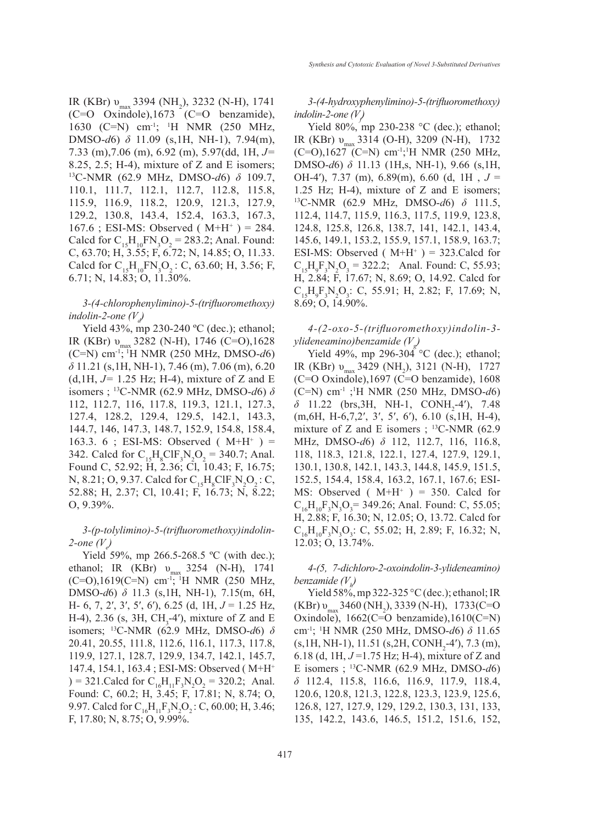IR (KBr)  $v_{max}$  3394 (NH<sub>2</sub>), 3232 (N-H), 1741 (C=O Oxindole),1673 (C=O benzamide), 1630 (C=N) cm-1; 1 H NMR (250 MHz, DMSO-*d*6) *δ* 11.09 (s,1H, NH-1), 7.94(m), 7.33 (m),7.06 (m), 6.92 (m), 5.97(dd, 1H, *J=* 8.25, 2.5; H-4), mixture of Z and E isomers; 13C-NMR (62.9 MHz, DMSO-*d*6) *δ* 109.7, 110.1, 111.7, 112.1, 112.7, 112.8, 115.8, 115.9, 116.9, 118.2, 120.9, 121.3, 127.9, 129.2, 130.8, 143.4, 152.4, 163.3, 167.3, 167.6; ESI-MS: Observed ( $M+H^+$ ) = 284. Calcd for  $C_{15}H_{10}FN_3O_2 = 283.2$ ; Anal. Found: C, 63.70; H, 3.55; F, 6.72; N, 14.85; O, 11.33. Calcd for  $C_{15}H_{10}FN_3O_2$ : C, 63.60; H, 3.56; F, 6.71; N, 14.83; O, 11.30%.

## *3-(4-chlorophenylimino)-5-(trifluoromethoxy) indolin-2-one*  $(V_d)$

Yield 43%, mp 230-240 °C (dec.); ethanol; IR (KBr) υ<sub>max</sub> 3282 (N-H), 1746 (C=O),1628 (C=N) cm-1; 1H NMR (250 MHz, DMSO-*d*6) *δ* 11.21 (s,1H, NH-1), 7.46 (m), 7.06 (m), 6.20 (d,1H, *J=* 1.25 Hz; H-4), mixture of Z and E isomers ; 13C-NMR (62.9 MHz, DMSO-*d*6) *δ* 112, 112.7, 116, 117.8, 119.3, 121.1, 127.3, 127.4, 128.2, 129.4, 129.5, 142.1, 143.3, 144.7, 146, 147.3, 148.7, 152.9, 154.8, 158.4, 163.3. 6 ; ESI-MS: Observed ( $M+H^+$ ) = 342. Calcd for  $C_{15}H_8CIF_3N_2O_2 = 340.7$ ; Anal. Found C, 52.92; H, 2.36; Cl, 10.43; F, 16.75; N, 8.21; O, 9.37. Calcd for  $C_{15}H_8CH_3N_2O_2$ : C, 52.88; H, 2.37; Cl, 10.41; F, 16.73; N, 8.22; O, 9.39%.

*3-(p-tolylimino)-5-(trifluoromethoxy)indolin-*2-one (V<sub>e</sub>)

Yield 59%, mp 266.5-268.5 °C (with dec.); ethanol; IR (KBr)  $v_{\text{max}}$  3254 (N-H), 1741 (C=O),1619(C=N) cm-1; 1H NMR (250 MHz, DMSO-*d*6) *δ* 11.3 (s,1H, NH-1), 7.15(m, 6H, H- 6, 7, 2′, 3′, 5′, 6′), 6.25 (d, 1H, *J* = 1.25 Hz, H-4), 2.36 (s, 3H,  $CH_3$ -4'), mixture of Z and E isomers; 13C-NMR (62.9 MHz, DMSO-*d*6) *δ* 20.41, 20.55, 111.8, 112.6, 116.1, 117.3, 117.8, 119.9, 127.1, 128.7, 129.9, 134.7, 142.1, 145.7, 147.4, 154.1, 163.4 ; ESI-MS: Observed ( M+H+  $= 321$ . Calcd for  $C_{16}H_{11}F_3N_2O_2 = 320.2$ ; Anal. Found: C, 60.2; H, 3.45; F, 17.81; N, 8.74; O, 9.97. Calcd for  $C_{16}H_{11}F_3N_2O_2$ : C, 60.00; H, 3.46; F, 17.80; N, 8.75; O, 9.99%.

*3-(4-hydroxyphenylimino)-5-(trifluoromethoxy) indolin-2-one (V<sub>f</sub>)* 

Yield 80%, mp 230-238 °C (dec.); ethanol; IR (KBr) υ<sub>max</sub> 3314 (O-H), 3209 (N-H), 1732 (C=O),1627 (C=N) cm-1; 1 H NMR (250 MHz, DMSO-*d*6) *δ* 11.13 (1H,s, NH-1), 9.66 (s,1H, OH-4′), 7.37 (m), 6.89(m), 6.60 (d, 1H , *J* = 1.25 Hz; H-4), mixture of Z and E isomers; 13C-NMR (62.9 MHz, DMSO-*d*6) *δ* 111.5, 112.4, 114.7, 115.9, 116.3, 117.5, 119.9, 123.8, 124.8, 125.8, 126.8, 138.7, 141, 142.1, 143.4, 145.6, 149.1, 153.2, 155.9, 157.1, 158.9, 163.7; ESI-MS: Observed ( $M+H^+$ ) = 323. Calcd for  $C_{15}H_9F_3N_2O_3 = 322.2$ ; Anal. Found: C, 55.93; H, 2.84; F, 17.67; N, 8.69; O, 14.92. Calcd for  $C_{15}H_{9}F_{3}N_{2}O_{3}$ : C, 55.91; H, 2.82; F, 17.69; N, 8.69; O, 14.90%.

*4-(2-oxo-5-(trifluoromethoxy)indolin-3 ylideneamino)benzamide (Vg )*

Yield 49%, mp 296-304  $\degree$ C (dec.); ethanol; IR (KBr)  $v_{max}$  3429 (NH<sub>2</sub>), 3121 (N-H), 1727 (C=O Oxindole),1697 (C=O benzamide), 1608 (C=N) cm-1 ;1 H NMR (250 MHz, DMSO-*d*6) *δ* 11.22 (brs, 3H, NH-1, CONH<sub>2</sub>-4'), 7.48 (m,6H, H-6,7,2′, 3′, 5′, 6′), 6.10 (s,1H, H-4), mixture of Z and E isomers ;  $^{13}$ C-NMR (62.9) MHz, DMSO-*d*6) *δ* 112, 112.7, 116, 116.8, 118, 118.3, 121.8, 122.1, 127.4, 127.9, 129.1, 130.1, 130.8, 142.1, 143.3, 144.8, 145.9, 151.5, 152.5, 154.4, 158.4, 163.2, 167.1, 167.6; ESI-MS: Observed ( $M+H^+$ ) = 350. Calcd for  $C_{16}H_{10}F_3N_3O_3 = 349.26$ ; Anal. Found: C, 55.05; H, 2.88; F, 16.30; N, 12.05; O, 13.72. Calcd for  $C_{16}H_{10}F_3N_3O_3$ : C, 55.02; H, 2.89; F, 16.32; N, 12.03; O, 13.74%.

*4-(5, 7-dichloro-2-oxoindolin-3-ylideneamino) benzamide (Vh )*

Yield 58%, mp 322-325 °C (dec.); ethanol; IR  $(KBr)$   $v_{max}$  3460 (NH<sub>2</sub>), 3339 (N-H), 1733(C=O Oxindole), 1662(C=O benzamide),1610(C=N) cm-1; 1 H NMR (250 MHz, DMSO-*d*6) *δ* 11.65  $(s, 1H, NH-1), 11.51 (s, 2H, CONH<sub>2</sub>-4'), 7.3 (m),$ 6.18 (d, 1H, *J* =1.75 Hz; H-4), mixture of Z and E isomers ; 13C-NMR (62.9 MHz, DMSO-*d*6) *δ* 112.4, 115.8, 116.6, 116.9, 117.9, 118.4, 120.6, 120.8, 121.3, 122.8, 123.3, 123.9, 125.6, 126.8, 127, 127.9, 129, 129.2, 130.3, 131, 133, 135, 142.2, 143.6, 146.5, 151.2, 151.6, 152,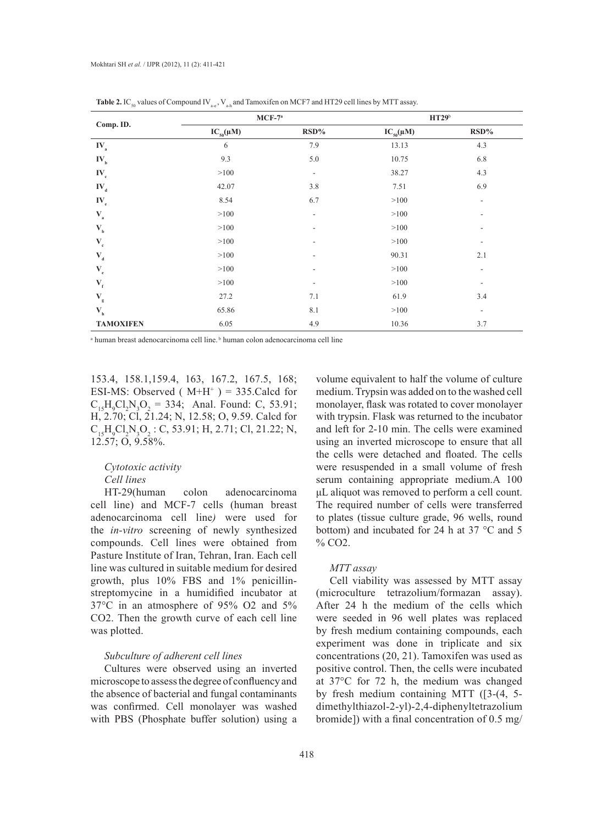| Comp. ID.                  | $MCF-7a$         |                          | <b>HT29</b> b    |                          |
|----------------------------|------------------|--------------------------|------------------|--------------------------|
|                            | $IC_{50}(\mu M)$ | RSD%                     | $IC_{50}(\mu M)$ | $RSD\%$                  |
| $IV_a$                     | 6                | 7.9                      | 13.13            | 4.3                      |
| $IV_{b}$                   | 9.3              | 5.0                      | 10.75            | $6.8\,$                  |
| $IV_c$                     | >100             | $\sim$                   | 38.27            | 4.3                      |
| $IV_d$                     | 42.07            | 3.8                      | 7.51             | 6.9                      |
| $\mathbf{IV}_{\mathrm{e}}$ | 8.54             | 6.7                      | >100             | $\overline{\phantom{0}}$ |
| $\mathbf{V}_{\rm a}$       | >100             | $\overline{\phantom{a}}$ | >100             |                          |
| $\mathbf{V}_{\rm b}$       | >100             | Ξ.                       | >100             |                          |
| $\mathbf{V}_{\rm c}$       | >100             | ۰                        | >100             | ۰.                       |
| $\mathbf{V}_{\mathbf{d}}$  | >100             | ٠                        | 90.31            | 2.1                      |
| $\mathbf{V}_{\text{e}}$    | >100             | -                        | >100             | $\overline{\phantom{a}}$ |
| $\mathbf{V}_{\rm f}$       | >100             | ۰                        | >100             | $\overline{\phantom{a}}$ |
| $\mathbf{V}_{\rm g}$       | 27.2             | 7.1                      | 61.9             | 3.4                      |
| $\mathbf{V}_{\rm h}$       | 65.86            | 8.1                      | >100             | ٠                        |
| <b>TAMOXIFEN</b>           | 6.05             | 4.9                      | 10.36            | 3.7                      |

**Table 2.** IC<sub>50</sub> values of Compound IV<sub>300</sub>, V<sub>30</sub> and Tamoxifen on MCF7 and HT29 cell lines by MTT assay.

<sup>a</sup> human breast adenocarcinoma cell line. <sup>b</sup> human colon adenocarcinoma cell line

153.4, 158.1,159.4, 163, 167.2, 167.5, 168; ESI-MS: Observed ( $M+H^+$ ) = 335. Calcd for  $C_{15}H_{9}Cl_{2}N_{3}O_{2} = 334$ ; Anal. Found: C, 53.91; H, 2.70; Cl, 21.24; N, 12.58; O, 9.59. Calcd for  $C_{15}H_{9}Cl_{2}N_{3}O_{2}$ : C, 53.91; H, 2.71; Cl, 21.22; N, 12.57; O, 9.58%.

### *Cytotoxic activity Cell lines*

HT-29(human colon adenocarcinoma cell line) and MCF-7 cells (human breast adenocarcinoma cell line*)* were used for the *in-vitro* screening of newly synthesized compounds. Cell lines were obtained from Pasture Institute of Iran, Tehran, Iran. Each cell line was cultured in suitable medium for desired growth, plus 10% FBS and 1% penicillinstreptomycine in a humidified incubator at 37°C in an atmosphere of 95% O2 and 5% CO2. Then the growth curve of each cell line was plotted.

### *Subculture of adherent cell lines*

Cultures were observed using an inverted microscope to assess the degree of confluency and the absence of bacterial and fungal contaminants was confirmed. Cell monolayer was washed with PBS (Phosphate buffer solution) using a volume equivalent to half the volume of culture medium. Trypsin was added on to the washed cell monolayer, flask was rotated to cover monolayer with trypsin. Flask was returned to the incubator and left for 2-10 min. The cells were examined using an inverted microscope to ensure that all the cells were detached and floated. The cells were resuspended in a small volume of fresh serum containing appropriate medium.A 100 μL aliquot was removed to perform a cell count. The required number of cells were transferred to plates (tissue culture grade, 96 wells, round bottom) and incubated for 24 h at 37 °C and 5 % CO2.

### *MTT assay*

Cell viability was assessed by MTT assay (microculture tetrazolium/formazan assay). After 24 h the medium of the cells which were seeded in 96 well plates was replaced by fresh medium containing compounds, each experiment was done in triplicate and six concentrations (20, 21). Tamoxifen was used as positive control. Then, the cells were incubated at 37°C for 72 h, the medium was changed by fresh medium containing MTT ([3-(4, 5 dimethylthiazol-2-yl)-2,4-diphenyltetrazolium bromide]) with a final concentration of 0.5 mg/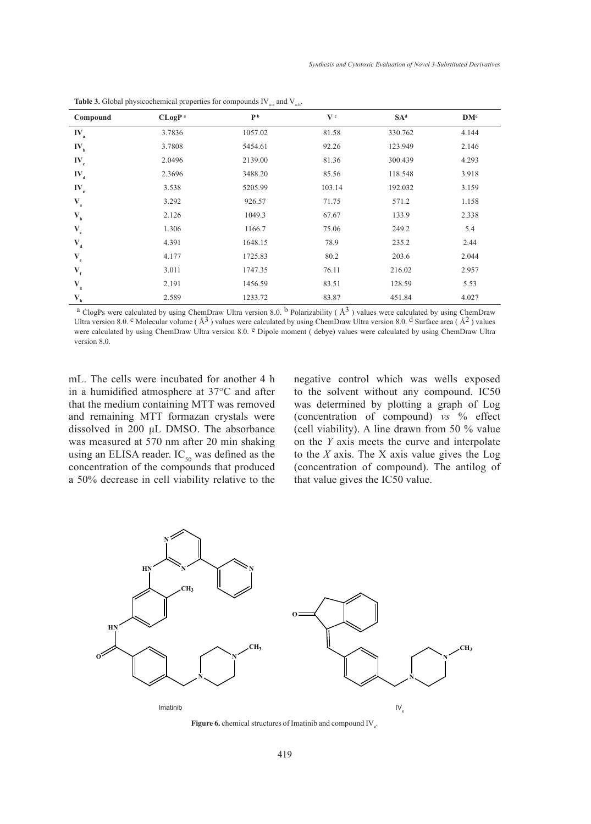| Compound                     | CLoqP <sup>a</sup> | P <sub>b</sub> | V <sup>c</sup> | SA <sup>d</sup> | DM <sup>e</sup> |
|------------------------------|--------------------|----------------|----------------|-----------------|-----------------|
| $IV_a$                       | 3.7836             | 1057.02        | 81.58          | 330.762         | 4.144           |
| $IV_{b}$                     | 3.7808             | 5454.61        | 92.26          | 123.949         | 2.146           |
| $IV_c$                       | 2.0496             | 2139.00        | 81.36          | 300.439         | 4.293           |
| $IV_d$                       | 2.3696             | 3488.20        | 85.56          | 118.548         | 3.918           |
| $IV_e$                       | 3.538              | 5205.99        | 103.14         | 192.032         | 3.159           |
| $\mathbf{V}_{\mathbf{a}}$    | 3.292              | 926.57         | 71.75          | 571.2           | 1.158           |
| $\mathbf{V}_{_{\mathbf{b}}}$ | 2.126              | 1049.3         | 67.67          | 133.9           | 2.338           |
| $\mathbf{V}_{\rm c}$         | 1.306              | 1166.7         | 75.06          | 249.2           | 5.4             |
| $\mathbf{V}_{\rm d}$         | 4.391              | 1648.15        | 78.9           | 235.2           | 2.44            |
| $\mathbf{V}_{\text{e}}$      | 4.177              | 1725.83        | 80.2           | 203.6           | 2.044           |
| $\mathbf{V}_{\rm f}$         | 3.011              | 1747.35        | 76.11          | 216.02          | 2.957           |
| $\mathbf{V}_{\rm g}$         | 2.191              | 1456.59        | 83.51          | 128.59          | 5.53            |
| $\mathbf{V}_{\rm h}$         | 2.589              | 1233.72        | 83.87          | 451.84          | 4.027           |

**Table 3.** Global physicochemical properties for compounds  $IV_{\text{a-e}}$  and  $V_{\text{a-h}}$ .

<sup>a</sup> ClogPs were calculated by using ChemDraw Ultra version 8.0. <sup>b</sup> Polarizability ( $\AA$ <sup>3</sup>) values were calculated by using ChemDraw Ultra version 8.0. <sup>c</sup> Molecular volume ( $\AA$ <sup>3</sup>) values were calculated by using ChemDraw Ultra version 8.0. <sup>d</sup> Surface area ( $\AA$ <sup>2</sup>) values were calculated by using ChemDraw Ultra version 8.0. <sup>e</sup> Dipole moment ( debye) values were calculated by using ChemDraw Ultra version 8.0.

mL. The cells were incubated for another 4 h in a humidified atmosphere at 37°C and after that the medium containing MTT was removed and remaining MTT formazan crystals were dissolved in 200 μL DMSO. The absorbance was measured at 570 nm after 20 min shaking using an ELISA reader.  $IC_{50}$  was defined as the concentration of the compounds that produced a 50% decrease in cell viability relative to the negative control which was wells exposed to the solvent without any compound. IC50 was determined by plotting a graph of Log (concentration of compound) *vs* % effect (cell viability). A line drawn from 50 % value on the *Y* axis meets the curve and interpolate to the *X* axis. The X axis value gives the Log (concentration of compound). The antilog of that value gives the IC50 value.



**Figure 6.** chemical structures of Imatinib and compound  $IV_e$ .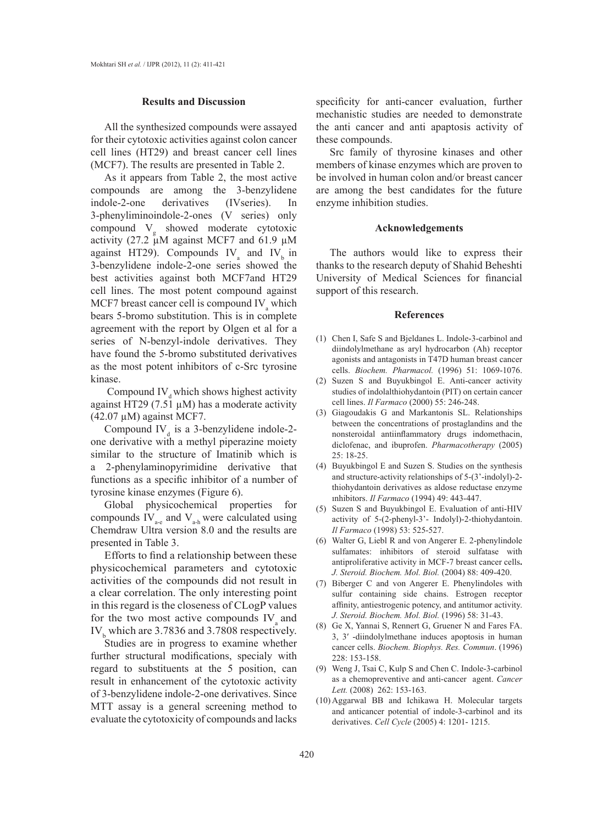### **Results and Discussion**

All the synthesized compounds were assayed for their cytotoxic activities against colon cancer cell lines (HT29) and breast cancer cell lines (MCF7). The results are presented in Table 2.

As it appears from Table 2, the most active compounds are among the 3-benzylidene indole-2-one derivatives (IVseries). In 3-phenyliminoindole-2-ones (V series) only compound  $V_g$  showed moderate cytotoxic activity (27.2  $\mu$ M against MCF7 and 61.9  $\mu$ M against HT29). Compounds  $IV_a$  and  $IV_b$  in 3-benzylidene indole-2-one series showed the best activities against both MCF7and HT29 cell lines. The most potent compound against MCF7 breast cancer cell is compound  $IV_a$  which bears 5-bromo substitution. This is in complete agreement with the report by Olgen et al for a series of N-benzyl-indole derivatives. They have found the 5-bromo substituted derivatives as the most potent inhibitors of c-Src tyrosine kinase.

Compound IV<sub>d</sub> which shows highest activity against HT29 (7.51  $\mu$ M) has a moderate activity  $(42.07 \mu M)$  against MCF7.

Compound IV $_{d}$  is a 3-benzylidene indole-2one derivative with a methyl piperazine moiety similar to the structure of Imatinib which is a 2-phenylaminopyrimidine derivative that functions as a specific inhibitor of a number of tyrosine kinase enzymes (Figure 6).

Global physicochemical properties for compounds  $IV_{\text{a-e}}$  and  $V_{\text{a-h}}$  were calculated using Chemdraw Ultra version 8.0 and the results are presented in Table 3.

Efforts to find a relationship between these physicochemical parameters and cytotoxic activities of the compounds did not result in a clear correlation. The only interesting point in this regard is the closeness of CLogP values for the two most active compounds  $IV_a$  and  $IV_b$  which are 3.7836 and 3.7808 respectively.

Studies are in progress to examine whether further structural modifications, specialy with regard to substituents at the 5 position, can result in enhancement of the cytotoxic activity of 3-benzylidene indole-2-one derivatives. Since MTT assay is a general screening method to evaluate the cytotoxicity of compounds and lacks specificity for anti-cancer evaluation, further mechanistic studies are needed to demonstrate the anti cancer and anti apaptosis activity of these compounds.

Src family of thyrosine kinases and other members of kinase enzymes which are proven to be involved in human colon and/or breast cancer are among the best candidates for the future enzyme inhibition studies.

#### **Acknowledgements**

The authors would like to express their thanks to the research deputy of Shahid Beheshti University of Medical Sciences for financial support of this research.

#### **References**

- Chen I, Safe S and Bjeldanes L. Indole-3-carbinol and (1) diindolylmethane as aryl hydrocarbon (Ah) receptor agonists and antagonists in T47D human breast cancer cells. *Biochem. Pharmacol.* (1996) 51: 1069-1076.
- (2) Suzen S and Buyukbingol E. Anti-cancer activity studies of indolalthiohydantoin (PIT) on certain cancer cell lines. *Il Farmaco* (2000) 55: 246-248.
- Giagoudakis G and Markantonis SL. Relationships (3) between the concentrations of prostaglandins and the nonsteroidal antiinflammatory drugs indomethacin, diclofenac, and ibuprofen. *Pharmacotherapy* (2005) 25: 18-25.
- $(4)$  Buyukbingol E and Suzen S. Studies on the synthesis and structure-activity relationships of 5-(3'-indolyl)-2 thiohydantoin derivatives as aldose reductase enzyme ınhibitors. *Il Farmaco* (1994) 49: 443-447.
- (5) Suzen S and Buyukbingol E. Evaluation of anti-HIV activity of 5-(2-phenyl-3'- Indolyl)-2-thiohydantoin. *Il Farmaco* (1998) 53: 525-527.
- Walter G, Liebl R and von Angerer E. 2-phenylindole (6) sulfamates: inhibitors of steroid sulfatase with antiproliferative activity in MCF-7 breast cancer cells**.**  *J. Steroid. Biochem. Mol. Biol.* (2004) 88: 409-420.
- (7) Biberger C and von Angerer E. Phenylindoles with sulfur containing side chains. Estrogen receptor affinity, antiestrogenic potency, and antitumor activity. *J. Steroid. Biochem. Mol. Biol.* (1996) 58: 31-43.
- Ge X, Yannai S, Rennert G, Gruener N and Fares FA. (8) 3, 3′ -diindolylmethane induces apoptosis in human cancer cells. *Biochem. Biophys. Res. Commun*. (1996) 228: 153-158.
- Weng J, Tsai C, Kulp S and Chen C. Indole-3-carbinol (9) as a chemopreventive and anti-cancer agent. *Cancer Lett.* (2008) 262: 153-163.
- $(10)$  Aggarwal BB and Ichikawa H. Molecular targets and anticancer potential of indole-3-carbinol and its derivatives. *Cell Cycle* (2005) 4: 1201- 1215.